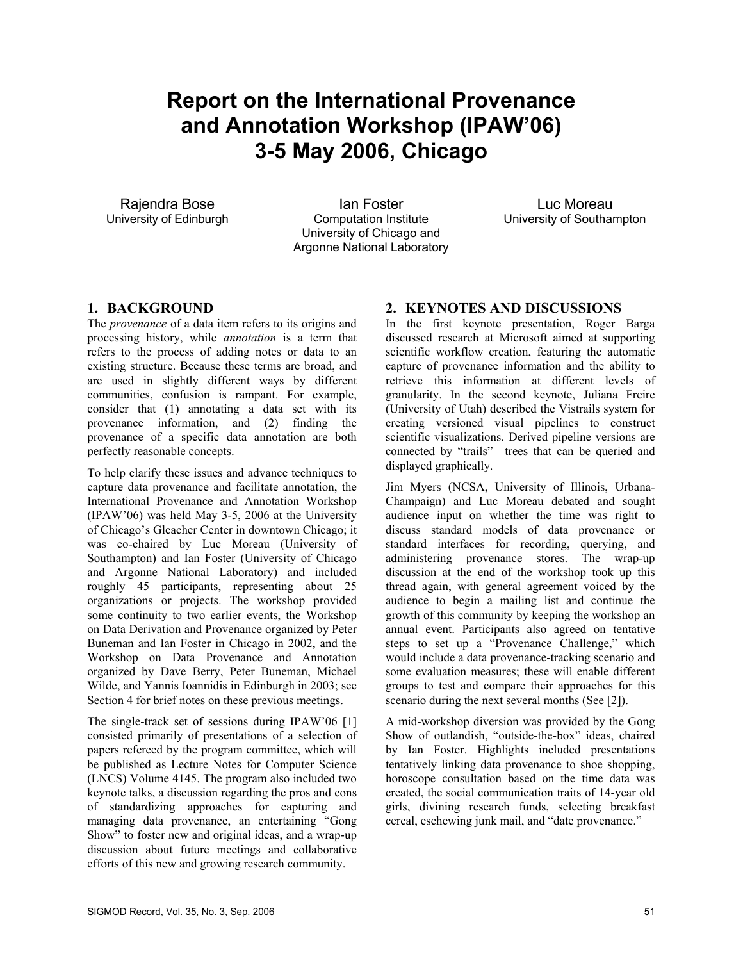# **Report on the International Provenance and Annotation Workshop (IPAW'06) 3-5 May 2006, Chicago**

Rajendra Bose University of Edinburgh

Ian Foster Computation Institute University of Chicago and Argonne National Laboratory

Luc Moreau University of Southampton

## **1. BACKGROUND**

The *provenance* of a data item refers to its origins and processing history, while *annotation* is a term that refers to the process of adding notes or data to an existing structure. Because these terms are broad, and are used in slightly different ways by different communities, confusion is rampant. For example, consider that (1) annotating a data set with its provenance information, and (2) finding the provenance of a specific data annotation are both perfectly reasonable concepts.

To help clarify these issues and advance techniques to capture data provenance and facilitate annotation, the International Provenance and Annotation Workshop (IPAW'06) was held May 3-5, 2006 at the University of Chicago's Gleacher Center in downtown Chicago; it was co-chaired by Luc Moreau (University of Southampton) and Ian Foster (University of Chicago and Argonne National Laboratory) and included roughly 45 participants, representing about 25 organizations or projects. The workshop provided some continuity to two earlier events, the Workshop on Data Derivation and Provenance organized by Peter Buneman and Ian Foster in Chicago in 2002, and the Workshop on Data Provenance and Annotation organized by Dave Berry, Peter Buneman, Michael Wilde, and Yannis Ioannidis in Edinburgh in 2003; see Section 4 for brief notes on these previous meetings.

The single-track set of sessions during IPAW'06 [1] consisted primarily of presentations of a selection of papers refereed by the program committee, which will be published as Lecture Notes for Computer Science (LNCS) Volume 4145. The program also included two keynote talks, a discussion regarding the pros and cons of standardizing approaches for capturing and managing data provenance, an entertaining "Gong Show" to foster new and original ideas, and a wrap-up discussion about future meetings and collaborative efforts of this new and growing research community.

## **2. KEYNOTES AND DISCUSSIONS**

In the first keynote presentation, Roger Barga discussed research at Microsoft aimed at supporting scientific workflow creation, featuring the automatic capture of provenance information and the ability to retrieve this information at different levels of granularity. In the second keynote, Juliana Freire (University of Utah) described the Vistrails system for creating versioned visual pipelines to construct scientific visualizations. Derived pipeline versions are connected by "trails"—trees that can be queried and displayed graphically.

Jim Myers (NCSA, University of Illinois, Urbana-Champaign) and Luc Moreau debated and sought audience input on whether the time was right to discuss standard models of data provenance or standard interfaces for recording, querying, and administering provenance stores. The wrap-up discussion at the end of the workshop took up this thread again, with general agreement voiced by the audience to begin a mailing list and continue the growth of this community by keeping the workshop an annual event. Participants also agreed on tentative steps to set up a "Provenance Challenge," which would include a data provenance-tracking scenario and some evaluation measures; these will enable different groups to test and compare their approaches for this scenario during the next several months (See [2]).

A mid-workshop diversion was provided by the Gong Show of outlandish, "outside-the-box" ideas, chaired by Ian Foster. Highlights included presentations tentatively linking data provenance to shoe shopping, horoscope consultation based on the time data was created, the social communication traits of 14-year old girls, divining research funds, selecting breakfast cereal, eschewing junk mail, and "date provenance."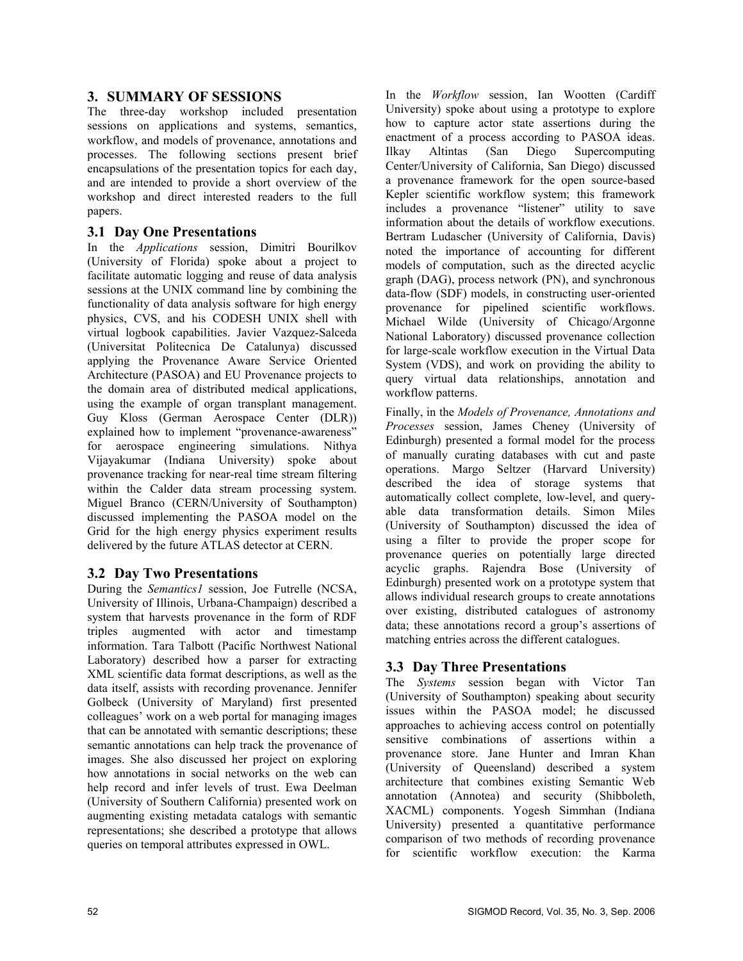## **3. SUMMARY OF SESSIONS**

The three-day workshop included presentation sessions on applications and systems, semantics, workflow, and models of provenance, annotations and processes. The following sections present brief encapsulations of the presentation topics for each day, and are intended to provide a short overview of the workshop and direct interested readers to the full papers.

# **3.1 Day One Presentations**

In the *Applications* session, Dimitri Bourilkov (University of Florida) spoke about a project to facilitate automatic logging and reuse of data analysis sessions at the UNIX command line by combining the functionality of data analysis software for high energy physics, CVS, and his CODESH UNIX shell with virtual logbook capabilities. Javier Vazquez-Salceda (Universitat Politecnica De Catalunya) discussed applying the Provenance Aware Service Oriented Architecture (PASOA) and EU Provenance projects to the domain area of distributed medical applications, using the example of organ transplant management. Guy Kloss (German Aerospace Center (DLR)) explained how to implement "provenance-awareness" for aerospace engineering simulations. Nithya Vijayakumar (Indiana University) spoke about provenance tracking for near-real time stream filtering within the Calder data stream processing system. Miguel Branco (CERN/University of Southampton) discussed implementing the PASOA model on the Grid for the high energy physics experiment results delivered by the future ATLAS detector at CERN.

# **3.2 Day Two Presentations**

During the *Semantics1* session, Joe Futrelle (NCSA, University of Illinois, Urbana-Champaign) described a system that harvests provenance in the form of RDF triples augmented with actor and timestamp information. Tara Talbott (Pacific Northwest National Laboratory) described how a parser for extracting XML scientific data format descriptions, as well as the data itself, assists with recording provenance. Jennifer Golbeck (University of Maryland) first presented colleagues' work on a web portal for managing images that can be annotated with semantic descriptions; these semantic annotations can help track the provenance of images. She also discussed her project on exploring how annotations in social networks on the web can help record and infer levels of trust. Ewa Deelman (University of Southern California) presented work on augmenting existing metadata catalogs with semantic representations; she described a prototype that allows queries on temporal attributes expressed in OWL.

In the *Workflow* session, Ian Wootten (Cardiff University) spoke about using a prototype to explore how to capture actor state assertions during the enactment of a process according to PASOA ideas. Ilkay Altintas (San Diego Supercomputing Center/University of California, San Diego) discussed a provenance framework for the open source-based Kepler scientific workflow system; this framework includes a provenance "listener" utility to save information about the details of workflow executions. Bertram Ludascher (University of California, Davis) noted the importance of accounting for different models of computation, such as the directed acyclic graph (DAG), process network (PN), and synchronous data-flow (SDF) models, in constructing user-oriented provenance for pipelined scientific workflows. Michael Wilde (University of Chicago/Argonne National Laboratory) discussed provenance collection for large-scale workflow execution in the Virtual Data System (VDS), and work on providing the ability to query virtual data relationships, annotation and workflow patterns.

Finally, in the *Models of Provenance, Annotations and Processes* session, James Cheney (University of Edinburgh) presented a formal model for the process of manually curating databases with cut and paste operations. Margo Seltzer (Harvard University) described the idea of storage systems that automatically collect complete, low-level, and queryable data transformation details. Simon Miles (University of Southampton) discussed the idea of using a filter to provide the proper scope for provenance queries on potentially large directed acyclic graphs. Rajendra Bose (University of Edinburgh) presented work on a prototype system that allows individual research groups to create annotations over existing, distributed catalogues of astronomy data; these annotations record a group's assertions of matching entries across the different catalogues.

## **3.3 Day Three Presentations**

The *Systems* session began with Victor Tan (University of Southampton) speaking about security issues within the PASOA model; he discussed approaches to achieving access control on potentially sensitive combinations of assertions within a provenance store. Jane Hunter and Imran Khan (University of Queensland) described a system architecture that combines existing Semantic Web annotation (Annotea) and security (Shibboleth, XACML) components. Yogesh Simmhan (Indiana University) presented a quantitative performance comparison of two methods of recording provenance for scientific workflow execution: the Karma